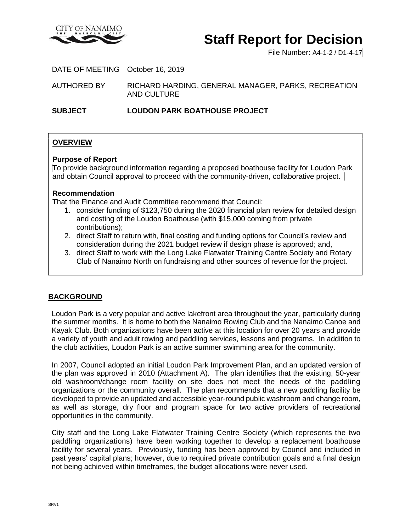

# **Staff Report for Decision**

File Number: A4-1-2 / D1-4-17

DATE OF MEETING October 16, 2019

AUTHORED BY RICHARD HARDING, GENERAL MANAGER, PARKS, RECREATION AND CULTURE

**SUBJECT LOUDON PARK BOATHOUSE PROJECT**

# **OVERVIEW**

#### **Purpose of Report**

To provide background information regarding a proposed boathouse facility for Loudon Park and obtain Council approval to proceed with the community-driven, collaborative project.

#### **Recommendation**

That the Finance and Audit Committee recommend that Council:

- 1. consider funding of \$123,750 during the 2020 financial plan review for detailed design and costing of the Loudon Boathouse (with \$15,000 coming from private contributions);
- 2. direct Staff to return with, final costing and funding options for Council's review and consideration during the 2021 budget review if design phase is approved; and,
- 3. direct Staff to work with the Long Lake Flatwater Training Centre Society and Rotary Club of Nanaimo North on fundraising and other sources of revenue for the project.

### **BACKGROUND**

Loudon Park is a very popular and active lakefront area throughout the year, particularly during the summer months. It is home to both the Nanaimo Rowing Club and the Nanaimo Canoe and Kayak Club. Both organizations have been active at this location for over 20 years and provide a variety of youth and adult rowing and paddling services, lessons and programs. In addition to the club activities, Loudon Park is an active summer swimming area for the community.

In 2007, Council adopted an initial Loudon Park Improvement Plan, and an updated version of the plan was approved in 2010 (Attachment A). The plan identifies that the existing, 50-year old washroom/change room facility on site does not meet the needs of the paddling organizations or the community overall. The plan recommends that a new paddling facility be developed to provide an updated and accessible year-round public washroom and change room, as well as storage, dry floor and program space for two active providers of recreational opportunities in the community.

City staff and the Long Lake Flatwater Training Centre Society (which represents the two paddling organizations) have been working together to develop a replacement boathouse facility for several years. Previously, funding has been approved by Council and included in past years' capital plans; however, due to required private contribution goals and a final design not being achieved within timeframes, the budget allocations were never used.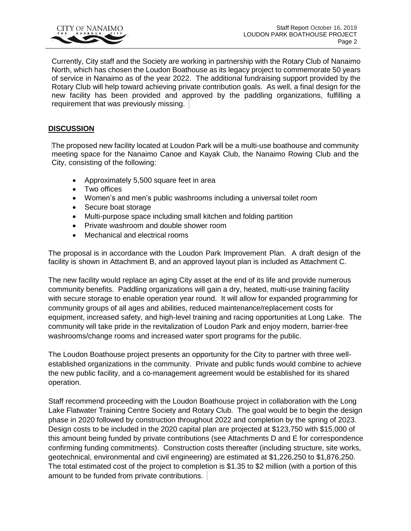

Currently, City staff and the Society are working in partnership with the Rotary Club of Nanaimo North, which has chosen the Loudon Boathouse as its legacy project to commemorate 50 years of service in Nanaimo as of the year 2022. The additional fundraising support provided by the Rotary Club will help toward achieving private contribution goals. As well, a final design for the new facility has been provided and approved by the paddling organizations, fulfilling a requirement that was previously missing.

## **DISCUSSION**

The proposed new facility located at Loudon Park will be a multi-use boathouse and community meeting space for the Nanaimo Canoe and Kayak Club, the Nanaimo Rowing Club and the City, consisting of the following:

- Approximately 5,500 square feet in area
- Two offices
- Women's and men's public washrooms including a universal toilet room
- Secure boat storage
- Multi-purpose space including small kitchen and folding partition
- Private washroom and double shower room
- Mechanical and electrical rooms

The proposal is in accordance with the Loudon Park Improvement Plan. A draft design of the facility is shown in Attachment B, and an approved layout plan is included as Attachment C.

The new facility would replace an aging City asset at the end of its life and provide numerous community benefits. Paddling organizations will gain a dry, heated, multi-use training facility with secure storage to enable operation year round. It will allow for expanded programming for community groups of all ages and abilities, reduced maintenance/replacement costs for equipment, increased safety, and high-level training and racing opportunities at Long Lake. The community will take pride in the revitalization of Loudon Park and enjoy modern, barrier-free washrooms/change rooms and increased water sport programs for the public.

The Loudon Boathouse project presents an opportunity for the City to partner with three wellestablished organizations in the community. Private and public funds would combine to achieve the new public facility, and a co-management agreement would be established for its shared operation.

Staff recommend proceeding with the Loudon Boathouse project in collaboration with the Long Lake Flatwater Training Centre Society and Rotary Club. The goal would be to begin the design phase in 2020 followed by construction throughout 2022 and completion by the spring of 2023. Design costs to be included in the 2020 capital plan are projected at \$123,750 with \$15,000 of this amount being funded by private contributions (see Attachments D and E for correspondence confirming funding commitments). Construction costs thereafter (including structure, site works, geotechnical, environmental and civil engineering) are estimated at \$1,226,250 to \$1,876,250. The total estimated cost of the project to completion is \$1.35 to \$2 million (with a portion of this amount to be funded from private contributions.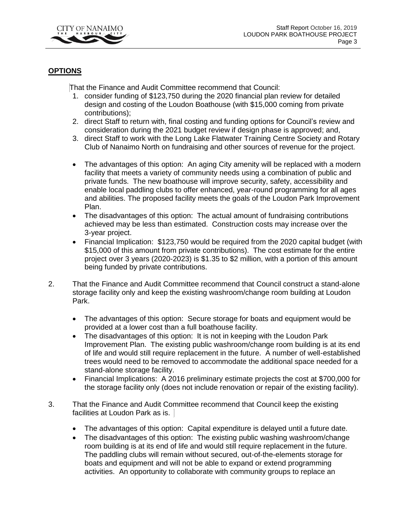

## **OPTIONS**

That the Finance and Audit Committee recommend that Council:

- 1. consider funding of \$123,750 during the 2020 financial plan review for detailed design and costing of the Loudon Boathouse (with \$15,000 coming from private contributions);
- 2. direct Staff to return with, final costing and funding options for Council's review and consideration during the 2021 budget review if design phase is approved; and,
- 3. direct Staff to work with the Long Lake Flatwater Training Centre Society and Rotary Club of Nanaimo North on fundraising and other sources of revenue for the project.
- The advantages of this option: An aging City amenity will be replaced with a modern facility that meets a variety of community needs using a combination of public and private funds. The new boathouse will improve security, safety, accessibility and enable local paddling clubs to offer enhanced, year-round programming for all ages and abilities. The proposed facility meets the goals of the Loudon Park Improvement Plan.
- The disadvantages of this option: The actual amount of fundraising contributions achieved may be less than estimated. Construction costs may increase over the 3-year project.
- Financial Implication: \$123,750 would be required from the 2020 capital budget (with \$15,000 of this amount from private contributions). The cost estimate for the entire project over 3 years (2020-2023) is \$1.35 to \$2 million, with a portion of this amount being funded by private contributions.
- 2. That the Finance and Audit Committee recommend that Council construct a stand-alone storage facility only and keep the existing washroom/change room building at Loudon Park.
	- The advantages of this option: Secure storage for boats and equipment would be provided at a lower cost than a full boathouse facility.
	- The disadvantages of this option: It is not in keeping with the Loudon Park Improvement Plan. The existing public washroom/change room building is at its end of life and would still require replacement in the future. A number of well-established trees would need to be removed to accommodate the additional space needed for a stand-alone storage facility.
	- Financial Implications: A 2016 preliminary estimate projects the cost at \$700,000 for the storage facility only (does not include renovation or repair of the existing facility).
- 3. That the Finance and Audit Committee recommend that Council keep the existing facilities at Loudon Park as is.
	- The advantages of this option: Capital expenditure is delayed until a future date.
	- The disadvantages of this option: The existing public washing washroom/change room building is at its end of life and would still require replacement in the future. The paddling clubs will remain without secured, out-of-the-elements storage for boats and equipment and will not be able to expand or extend programming activities. An opportunity to collaborate with community groups to replace an